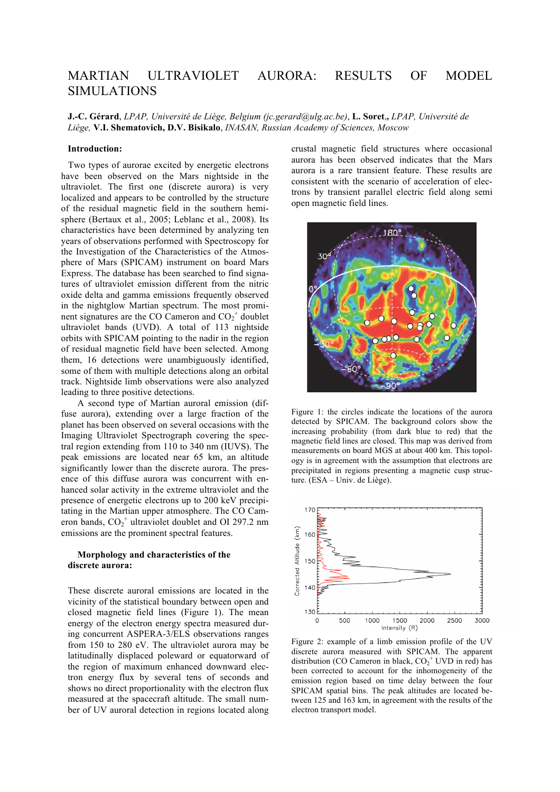# MARTIAN ULTRAVIOLET AURORA: RESULTS OF MODEL SIMULATIONS

**J.-C. Gérard**, *LPAP, Université de Liège, Belgium (jc.gerard@ulg.ac.be)*, **L. Soret**,**,** *LPAP, Université de Liège,* **V.I. Shematovich, D.V. Bisikalo**, *INASAN, Russian Academy of Sciences, Moscow*

# **Introduction:**

 Two types of aurorae excited by energetic electrons have been observed on the Mars nightside in the ultraviolet. The first one (discrete aurora) is very localized and appears to be controlled by the structure of the residual magnetic field in the southern hemisphere (Bertaux et al., 2005; Leblanc et al., 2008). Its characteristics have been determined by analyzing ten years of observations performed with Spectroscopy for the Investigation of the Characteristics of the Atmosphere of Mars (SPICAM) instrument on board Mars Express. The database has been searched to find signatures of ultraviolet emission different from the nitric oxide delta and gamma emissions frequently observed in the nightglow Martian spectrum. The most prominent signatures are the CO Cameron and  $CO_2^+$  doublet ultraviolet bands (UVD). A total of 113 nightside orbits with SPICAM pointing to the nadir in the region of residual magnetic field have been selected. Among them, 16 detections were unambiguously identified, some of them with multiple detections along an orbital track. Nightside limb observations were also analyzed leading to three positive detections.

A second type of Martian auroral emission (diffuse aurora), extending over a large fraction of the planet has been observed on several occasions with the Imaging Ultraviolet Spectrograph covering the spectral region extending from 110 to 340 nm (IUVS). The peak emissions are located near 65 km, an altitude significantly lower than the discrete aurora. The presence of this diffuse aurora was concurrent with enhanced solar activity in the extreme ultraviolet and the presence of energetic electrons up to 200 keV precipitating in the Martian upper atmosphere. The CO Cameron bands,  $CO_2^+$  ultraviolet doublet and OI 297.2 nm emissions are the prominent spectral features.

# **Morphology and characteristics of the discrete aurora:**

These discrete auroral emissions are located in the vicinity of the statistical boundary between open and closed magnetic field lines (Figure 1). The mean energy of the electron energy spectra measured during concurrent ASPERA-3/ELS observations ranges from 150 to 280 eV. The ultraviolet aurora may be latitudinally displaced poleward or equatorward of the region of maximum enhanced downward electron energy flux by several tens of seconds and shows no direct proportionality with the electron flux measured at the spacecraft altitude. The small number of UV auroral detection in regions located along crustal magnetic field structures where occasional aurora has been observed indicates that the Mars aurora is a rare transient feature. These results are consistent with the scenario of acceleration of electrons by transient parallel electric field along semi open magnetic field lines.



Figure 1: the circles indicate the locations of the aurora detected by SPICAM. The background colors show the increasing probability (from dark blue to red) that the magnetic field lines are closed. This map was derived from measurements on board MGS at about 400 km. This topology is in agreement with the assumption that electrons are precipitated in regions presenting a magnetic cusp structure. (ESA – Univ. de Liège).



Figure 2: example of a limb emission profile of the UV discrete aurora measured with SPICAM. The apparent distribution (CO Cameron in black,  $CO_2^+$  UVD in red) has been corrected to account for the inhomogeneity of the emission region based on time delay between the four SPICAM spatial bins. The peak altitudes are located between 125 and 163 km, in agreement with the results of the electron transport model.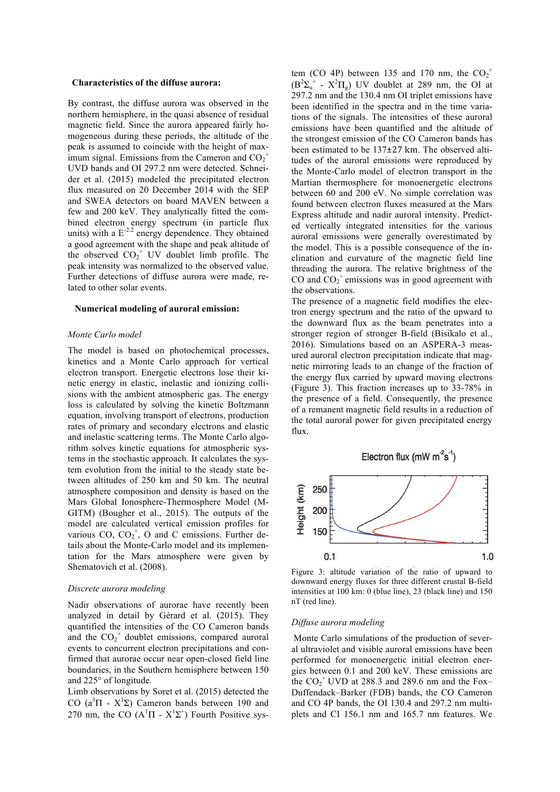### **Characteristics of the diffuse aurora:**

By contrast, the diffuse aurora was observed in the northern hemisphere, in the quasi absence of residual magnetic field. Since the aurora appeared fairly homogeneous during these periods, the altitude of the peak is assumed to coincide with the height of maximum signal. Emissions from the Cameron and  $CO_2^+$ UVD bands and OI 297.2 nm were detected. Schneider et al. (2015) modeled the precipitated electron flux measured on 20 December 2014 with the SEP and SWEA detectors on board MAVEN between a few and 200 keV. They analytically fitted the combined electron energy spectrum (in particle flux units) with a  $E^{-2.2}$  energy dependence. They obtained a good agreement with the shape and peak altitude of the observed  $CO_2^+$  UV doublet limb profile. The peak intensity was normalized to the observed value. Further detections of diffuse aurora were made, related to other solar events.

#### **Numerical modeling of auroral emission:**

### *Monte Carlo model*

The model is based on photochemical processes, kinetics and a Monte Carlo approach for vertical electron transport. Energetic electrons lose their kinetic energy in elastic, inelastic and ionizing collisions with the ambient atmospheric gas. The energy loss is calculated by solving the kinetic Boltzmann equation, involving transport of electrons, production rates of primary and secondary electrons and elastic and inelastic scattering terms. The Monte Carlo algorithm solves kinetic equations for atmospheric systems in the stochastic approach. It calculates the system evolution from the initial to the steady state between altitudes of 250 km and 50 km. The neutral atmosphere composition and density is based on the Mars Global Ionosphere-Thermosphere Model (M-GITM) (Bougher et al., 2015). The outputs of the model are calculated vertical emission profiles for various  $CO$ ,  $CO_2^+$ , O and C emissions. Further details about the Monte-Carlo model and its implementation for the Mars atmosphere were given by Shematovich et al. (2008).

#### *Discrete aurora modeling*

Nadir observations of aurorae have recently been analyzed in detail by Gérard et al. (2015). They quantified the intensities of the CO Cameron bands and the  $CO_2^+$  doublet emissions, compared auroral events to concurrent electron precipitations and confirmed that aurorae occur near open-closed field line boundaries, in the Southern hemisphere between 150 and 225° of longitude.

Limb observations by Soret et al. (2015) detected the CO  $(a^3\Pi - X^1\Sigma)$  Cameron bands between 190 and 270 nm, the CO  $(A<sup>1</sup>\Pi - X<sup>1</sup>\Sigma<sup>+</sup>)$  Fourth Positive sys-

tem (CO 4P) between 135 and 170 nm, the  $CO_2^+$  $(B^2\Sigma_u^+ - X^2\Pi_g)$  UV doublet at 289 nm, the OI at 297.2 nm and the 130.4 nm OI triplet emissions have been identified in the spectra and in the time variations of the signals. The intensities of these auroral emissions have been quantified and the altitude of the strongest emission of the CO Cameron bands has been estimated to be 137±27 km. The observed altitudes of the auroral emissions were reproduced by the Monte-Carlo model of electron transport in the Martian thermosphere for monoenergetic electrons between 60 and 200 eV. No simple correlation was found between electron fluxes measured at the Mars Express altitude and nadir auroral intensity. Predicted vertically integrated intensities for the various auroral emissions were generally overestimated by the model. This is a possible consequence of the inclination and curvature of the magnetic field line threading the aurora. The relative brightness of the CO and  $CO_2^+$  emissions was in good agreement with the observations.

The presence of a magnetic field modifies the electron energy spectrum and the ratio of the upward to the downward flux as the beam penetrates into a stronger region of stronger B-field (Bisikalo et al., 2016). Simulations based on an ASPERA-3 measured auroral electron precipitation indicate that magnetic mirroring leads to an change of the fraction of the energy flux carried by upward moving electrons (Figure 3). This fraction increases up to 33-78% in the presence of a field. Consequently, the presence of a remanent magnetic field results in a reduction of the total auroral power for given precipitated energy flux.



Figure 3: altitude variation of the ratio of upward to downward energy fluxes for three different crustal B-field intensities at 100 km: 0 (blue line), 23 (black line) and 150 nT (red line).

### *Diffuse aurora modeling*

Monte Carlo simulations of the production of several ultraviolet and visible auroral emissions have been performed for monoenergetic initial electron energies between 0.1 and 200 keV. These emissions are the  $CO_2^+$  UVD at 288.3 and 289.6 nm and the Fox-Duffendack–Barker (FDB) bands, the CO Cameron and CO 4P bands, the OI 130.4 and 297.2 nm multiplets and CI 156.1 nm and 165.7 nm features. We